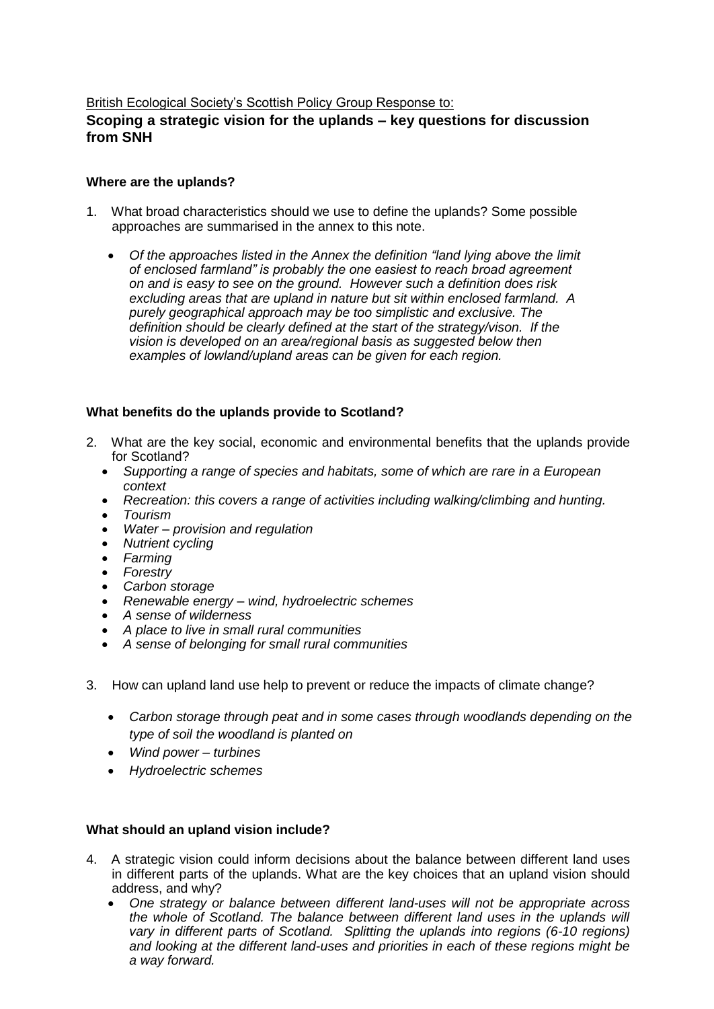#### British Ecological Society's Scottish Policy Group Response to:

# **Scoping a strategic vision for the uplands – key questions for discussion from SNH**

#### **Where are the uplands?**

- 1. What broad characteristics should we use to define the uplands? Some possible approaches are summarised in the annex to this note.
	- *Of the approaches listed in the Annex the definition "land lying above the limit of enclosed farmland" is probably the one easiest to reach broad agreement on and is easy to see on the ground. However such a definition does risk excluding areas that are upland in nature but sit within enclosed farmland. A purely geographical approach may be too simplistic and exclusive. The definition should be clearly defined at the start of the strategy/vison. If the vision is developed on an area/regional basis as suggested below then examples of lowland/upland areas can be given for each region.*

## **What benefits do the uplands provide to Scotland?**

- 2. What are the key social, economic and environmental benefits that the uplands provide for Scotland?
	- *Supporting a range of species and habitats, some of which are rare in a European context*
	- *Recreation: this covers a range of activities including walking/climbing and hunting.*
	- *Tourism*
	- *Water – provision and regulation*
	- *Nutrient cycling*
	- *Farming*
	- *Forestry*
	- *Carbon storage*
	- *Renewable energy – wind, hydroelectric schemes*
	- *A sense of wilderness*
	- *A place to live in small rural communities*
	- *A sense of belonging for small rural communities*
- 3. How can upland land use help to prevent or reduce the impacts of climate change?
	- *Carbon storage through peat and in some cases through woodlands depending on the type of soil the woodland is planted on*
	- *Wind power – turbines*
	- *Hydroelectric schemes*

## **What should an upland vision include?**

- 4. A strategic vision could inform decisions about the balance between different land uses in different parts of the uplands. What are the key choices that an upland vision should address, and why?
	- *One strategy or balance between different land-uses will not be appropriate across the whole of Scotland. The balance between different land uses in the uplands will vary in different parts of Scotland. Splitting the uplands into regions (6-10 regions) and looking at the different land-uses and priorities in each of these regions might be a way forward.*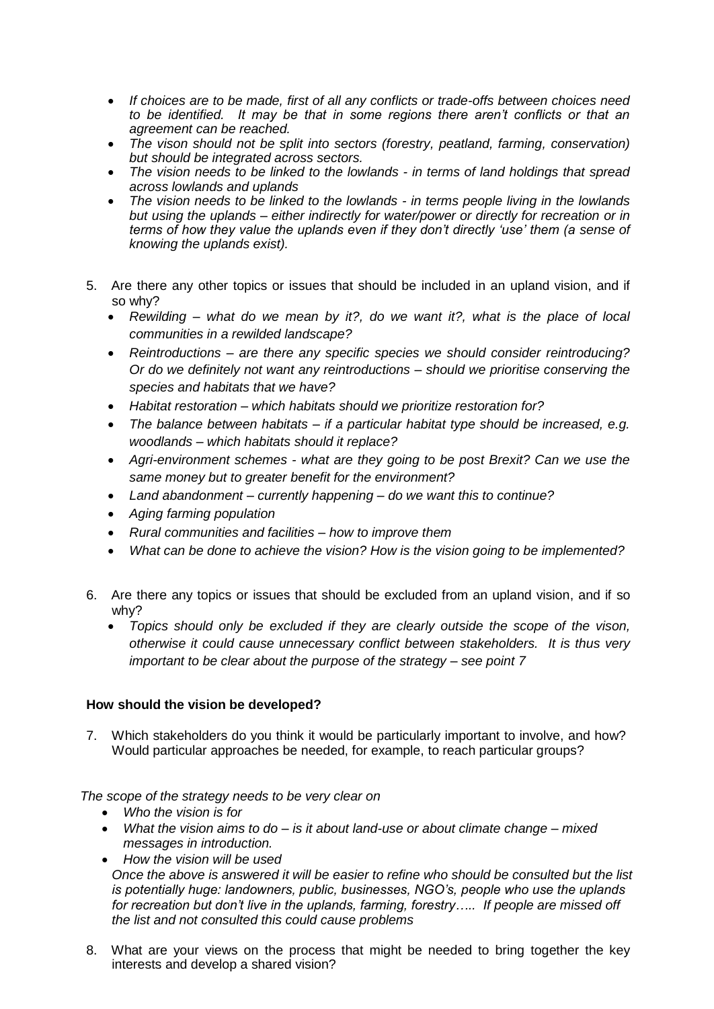- *If choices are to be made, first of all any conflicts or trade-offs between choices need to be identified. It may be that in some regions there aren't conflicts or that an agreement can be reached.*
- *The vison should not be split into sectors (forestry, peatland, farming, conservation) but should be integrated across sectors.*
- *The vision needs to be linked to the lowlands - in terms of land holdings that spread across lowlands and uplands*
- *The vision needs to be linked to the lowlands - in terms people living in the lowlands but using the uplands – either indirectly for water/power or directly for recreation or in terms of how they value the uplands even if they don't directly 'use' them (a sense of knowing the uplands exist).*
- 5. Are there any other topics or issues that should be included in an upland vision, and if so why?
	- *Rewilding – what do we mean by it?, do we want it?, what is the place of local communities in a rewilded landscape?*
	- *Reintroductions – are there any specific species we should consider reintroducing? Or do we definitely not want any reintroductions – should we prioritise conserving the species and habitats that we have?*
	- *Habitat restoration – which habitats should we prioritize restoration for?*
	- *The balance between habitats – if a particular habitat type should be increased, e.g. woodlands – which habitats should it replace?*
	- *Agri-environment schemes - what are they going to be post Brexit? Can we use the same money but to greater benefit for the environment?*
	- *Land abandonment – currently happening – do we want this to continue?*
	- *Aging farming population*
	- *Rural communities and facilities – how to improve them*
	- *What can be done to achieve the vision? How is the vision going to be implemented?*
- 6. Are there any topics or issues that should be excluded from an upland vision, and if so why?
	- *Topics should only be excluded if they are clearly outside the scope of the vison, otherwise it could cause unnecessary conflict between stakeholders. It is thus very important to be clear about the purpose of the strategy – see point 7*

## **How should the vision be developed?**

7. Which stakeholders do you think it would be particularly important to involve, and how? Would particular approaches be needed, for example, to reach particular groups?

*The scope of the strategy needs to be very clear on*

- *Who the vision is for*
- *What the vision aims to do – is it about land-use or about climate change – mixed messages in introduction.*
- *How the vision will be used Once the above is answered it will be easier to refine who should be consulted but the list is potentially huge: landowners, public, businesses, NGO's, people who use the uplands for recreation but don't live in the uplands, farming, forestry….. If people are missed off the list and not consulted this could cause problems*
- 8. What are your views on the process that might be needed to bring together the key interests and develop a shared vision?